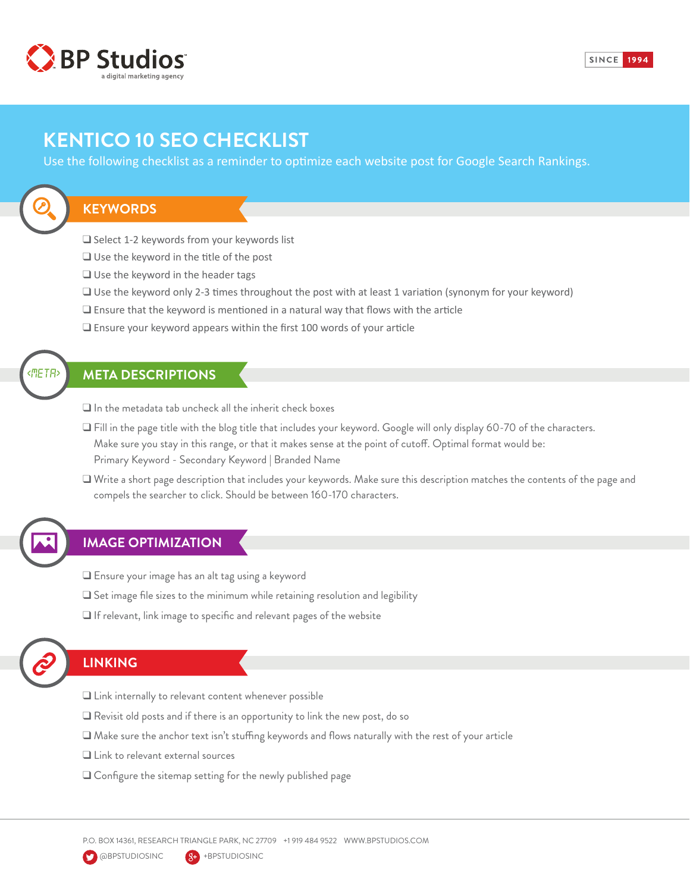

# **KENTICO 10 SEO CHECKLIST**

Use the following checklist as a reminder to optimize each website post for Google Search Rankings.

#### **KEYWORDS**

 $\Box$  Select 1-2 keywords from your keywords list

- $\Box$  Use the keyword in the title of the post
- $\Box$  Use the keyword in the header tags
- $\Box$  Use the keyword only 2-3 times throughout the post with at least 1 variation (synonym for your keyword)
- $\Box$  Ensure that the keyword is mentioned in a natural way that flows with the article
- $\Box$  Ensure your keyword appears within the first 100 words of your article

#### **META DESCRIPTIONS**

 $\Box$  In the metadata tab uncheck all the inherit check boxes

- $\Box$  Fill in the page title with the blog title that includes your keyword. Google will only display 60-70 of the characters. Make sure you stay in this range, or that it makes sense at the point of cutoff. Optimal format would be: Primary Keyword - Secondary Keyword | Branded Name
- $\square$  Write a short page description that includes your keywords. Make sure this description matches the contents of the page and compels the searcher to click. Should be between 160-170 characters.

### **IMAGE OPTIMIZATION**

- $\square$  Ensure your image has an alt tag using a keyword
- $\Box$  Set image file sizes to the minimum while retaining resolution and legibility
- $\Box$  If relevant, link image to specific and relevant pages of the website



*<META>*

### **LINKING**

- $\Box$  Link internally to relevant content whenever possible
- $\Box$  Revisit old posts and if there is an opportunity to link the new post, do so
- $\square$  Make sure the anchor text isn't stuffing keywords and flows naturally with the rest of your article
- $\Box$  Link to relevant external sources
- $\Box$  Configure the sitemap setting for the newly published page